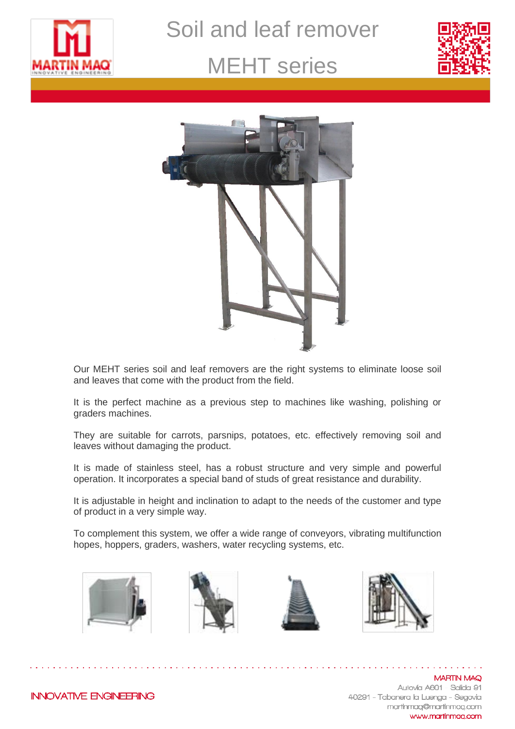

Soil and leaf remover

### MEHT series





Our MEHT series soil and leaf removers are the right systems to eliminate loose soil and leaves that come with the product from the field.

It is the perfect machine as a previous step to machines like washing, polishing or graders machines.

They are suitable for carrots, parsnips, potatoes, etc. effectively removing soil and leaves without damaging the product.

It is made of stainless steel, has a robust structure and very simple and powerful operation. It incorporates a special band of studs of great resistance and durability.

It is adjustable in height and inclination to adapt to the needs of the customer and type of product in a very simple way.

To complement this system, we offer a wide range of conveyors, vibrating multifunction hopes, hoppers, graders, washers, water recycling systems, etc.









**MARTIN MAQ** Autovía A601 - Salida 91 40291 - Tabanera la Luenga - Segovia martinmag@martinmag.com www.martinmag.com

**INNOVATIVE ENGINEERING**